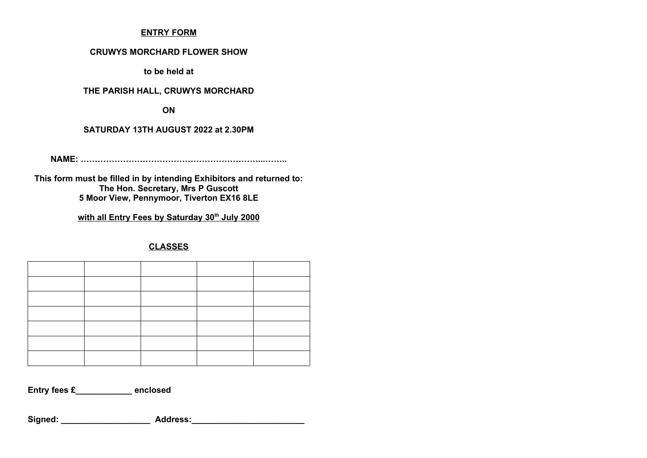### **ENTRY FORM**

#### **CRUWYS MORCHARD FLOWER SHOW**

**to be held at**

### **THE PARISH HALL, CRUWYS MORCHARD**

**ON**

### **SATURDAY 13TH AUGUST 2022 at 2.30PM**

**NAME: ………………………………………………………...……..**

**This form must be filled in by intending Exhibitors and returned to: The Hon. Secretary, Mrs P Guscott 5 Moor View, Pennymoor, Tiverton EX16 8LE**

## **with all Entry Fees by Saturday 30th July 2000**

**CLASSES**

**Entry fees £\_\_\_\_\_\_\_\_\_\_\_\_ enclosed**

Signed: **Address:**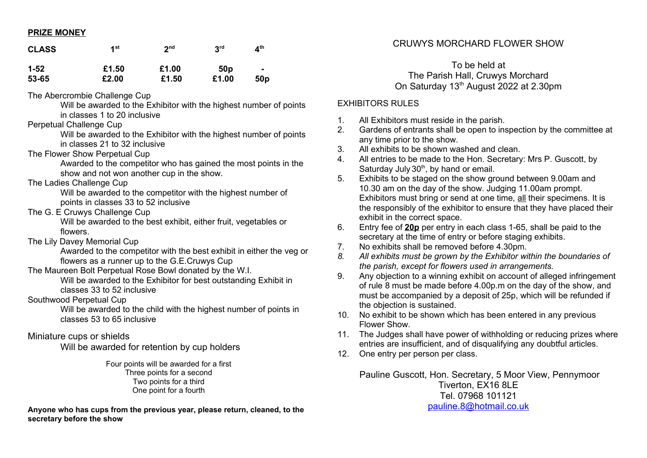### **PRIZE MONEY**

| <b>CLASS</b>      | 1 <sup>st</sup>               | 2 <sup>nd</sup> | 3 <sup>rd</sup> | $\mathbf{A}^{\text{th}}$ |
|-------------------|-------------------------------|-----------------|-----------------|--------------------------|
| $1 - 52$<br>53-65 | £1.50<br>£2.00                | £1.00<br>£1.50  | 50p<br>£1.00    | $\blacksquare$<br>50p    |
|                   | The Abercrombie Challenge Cup |                 |                 |                          |

The Abercrombie Challenge Cup

Will be awarded to the Exhibitor with the highest number of points in classes 1 to 20 inclusive

Perpetual Challenge Cup

Will be awarded to the Exhibitor with the highest number of points in classes 21 to 32 inclusive

The Flower Show Perpetual Cup

Awarded to the competitor who has gained the most points in the show and not won another cup in the show.

The Ladies Challenge Cup

Will be awarded to the competitor with the highest number of points in classes 33 to 52 inclusive

The G. E Cruwys Challenge Cup

Will be awarded to the best exhibit, either fruit, vegetables or flowers.

The Lily Davey Memorial Cup

Awarded to the competitor with the best exhibit in either the veg or flowers as a runner up to the G.E.Cruwys Cup

The Maureen Bolt Perpetual Rose Bowl donated by the W.I.

Will be awarded to the Exhibitor for best outstanding Exhibit in classes 33 to 52 inclusive

Southwood Perpetual Cup

Will be awarded to the child with the highest number of points in classes 53 to 65 inclusive

## Miniature cups or shields

Will be awarded for retention by cup holders

Four points will be awarded for a first Three points for a second Two points for a third One point for a fourth

**Anyone who has cups from the previous year, please return, cleaned, to the secretary before the show**

# CRUWYS MORCHARD FLOWER SHOW

To be held at The Parish Hall, Cruwys Morchard On Saturday 13<sup>th</sup> August 2022 at 2.30pm

## EXHIBITORS RULES

- 1. All Exhibitors must reside in the parish.
- 2. Gardens of entrants shall be open to inspection by the committee at any time prior to the show.
- 3. All exhibits to be shown washed and clean.
- 4. All entries to be made to the Hon. Secretary: Mrs P. Guscott, by Saturday July  $30<sup>th</sup>$ , by hand or email.
- 5. Exhibits to be staged on the show ground between 9.00am and 10.30 am on the day of the show. Judging 11.00am prompt. Exhibitors must bring or send at one time, all their specimens. It is the responsibly of the exhibitor to ensure that they have placed their exhibit in the correct space.
- 6. Entry fee of **20p** per entry in each class 1-65, shall be paid to the secretary at the time of entry or before staging exhibits.
- 7. No exhibits shall be removed before 4.30pm.
- *8. All exhibits must be grown by the Exhibitor within the boundaries of the parish, except for flowers used in arrangements.*
- 9. Any objection to a winning exhibit on account of alleged infringement of rule 8 must be made before 4.00p.m on the day of the show, and must be accompanied by a deposit of 25p, which will be refunded if the objection is sustained.
- 10. No exhibit to be shown which has been entered in any previous Flower Show.
- 11. The Judges shall have power of withholding or reducing prizes where entries are insufficient, and of disqualifying any doubtful articles.
- 12. One entry per person per class.

Pauline Guscott, Hon. Secretary, 5 Moor View, Pennymoor Tiverton, EX16 8LE Tel. 07968 101121 [pauline.8@hotmail.co.uk](mailto:pauline.8@hotmail.co.uk)